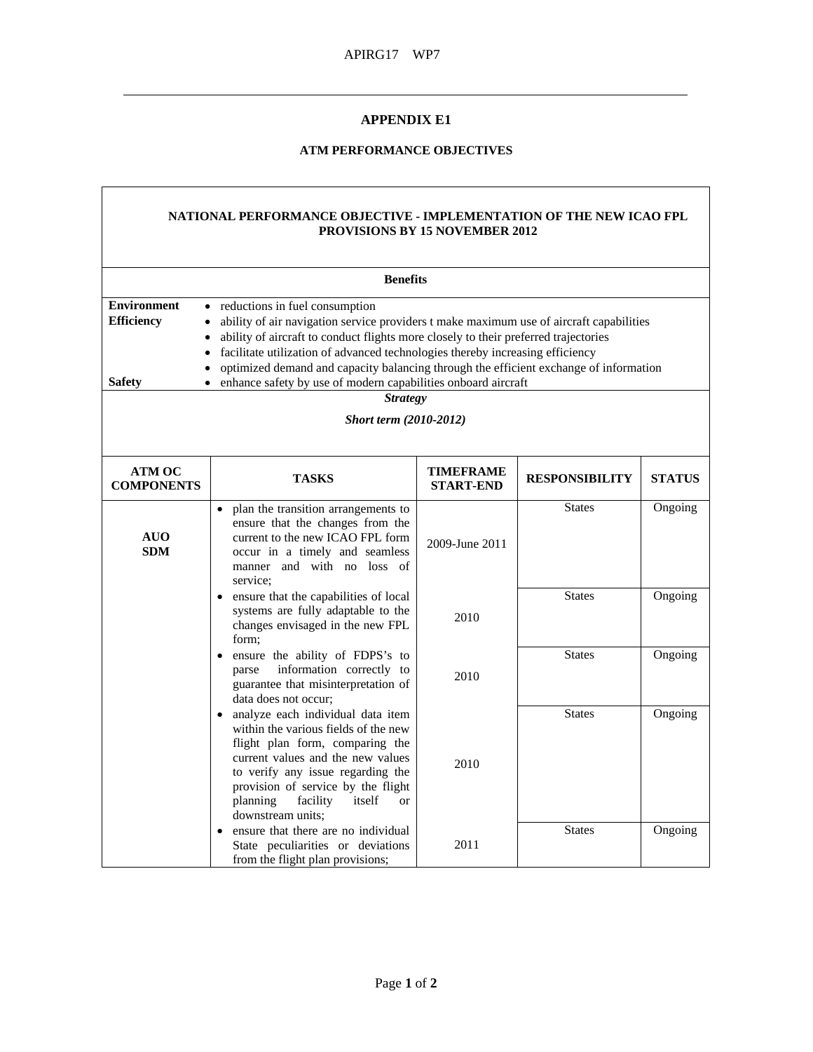## **APPENDIX E1**

## **ATM PERFORMANCE OBJECTIVES**

## **NATIONAL PERFORMANCE OBJECTIVE - IMPLEMENTATION OF THE NEW ICAO FPL PROVISIONS BY 15 NOVEMBER 2012**

| <b>Benefits</b>                                                                                                                                                                                                                                                                                                                                                                                                                                                                                                                                                        |                                                                                                                                                                                                                                                                                                   |                               |                       |               |  |  |  |
|------------------------------------------------------------------------------------------------------------------------------------------------------------------------------------------------------------------------------------------------------------------------------------------------------------------------------------------------------------------------------------------------------------------------------------------------------------------------------------------------------------------------------------------------------------------------|---------------------------------------------------------------------------------------------------------------------------------------------------------------------------------------------------------------------------------------------------------------------------------------------------|-------------------------------|-----------------------|---------------|--|--|--|
| <b>Environment</b><br>• reductions in fuel consumption<br><b>Efficiency</b><br>ability of air navigation service providers t make maximum use of aircraft capabilities<br>ability of aircraft to conduct flights more closely to their preferred trajectories<br>facilitate utilization of advanced technologies thereby increasing efficiency<br>$\bullet$<br>optimized demand and capacity balancing through the efficient exchange of information<br><b>Safety</b><br>enhance safety by use of modern capabilities onboard aircraft<br>$\bullet$<br><b>Strategy</b> |                                                                                                                                                                                                                                                                                                   |                               |                       |               |  |  |  |
| <b>Short term (2010-2012)</b>                                                                                                                                                                                                                                                                                                                                                                                                                                                                                                                                          |                                                                                                                                                                                                                                                                                                   |                               |                       |               |  |  |  |
| <b>ATM OC</b><br><b>COMPONENTS</b>                                                                                                                                                                                                                                                                                                                                                                                                                                                                                                                                     | <b>TASKS</b>                                                                                                                                                                                                                                                                                      | TIMEFRAME<br><b>START-END</b> | <b>RESPONSIBILITY</b> | <b>STATUS</b> |  |  |  |
| <b>AUO</b><br>SDM                                                                                                                                                                                                                                                                                                                                                                                                                                                                                                                                                      | plan the transition arrangements to<br>$\bullet$<br>ensure that the changes from the<br>current to the new ICAO FPL form<br>occur in a timely and seamless<br>manner and with no loss of<br>service:                                                                                              | 2009-June 2011                | <b>States</b>         | Ongoing       |  |  |  |
|                                                                                                                                                                                                                                                                                                                                                                                                                                                                                                                                                                        | ensure that the capabilities of local<br>٠<br>systems are fully adaptable to the<br>changes envisaged in the new FPL<br>form;                                                                                                                                                                     | 2010                          | <b>States</b>         | Ongoing       |  |  |  |
|                                                                                                                                                                                                                                                                                                                                                                                                                                                                                                                                                                        | ensure the ability of FDPS's to<br>$\bullet$<br>information correctly to<br>parse<br>guarantee that misinterpretation of<br>data does not occur;                                                                                                                                                  | 2010                          | <b>States</b>         | Ongoing       |  |  |  |
|                                                                                                                                                                                                                                                                                                                                                                                                                                                                                                                                                                        | • analyze each individual data item<br>within the various fields of the new<br>flight plan form, comparing the<br>current values and the new values<br>to verify any issue regarding the<br>provision of service by the flight<br>itself<br>planning<br>facility<br>$\alpha$<br>downstream units; | 2010                          | <b>States</b>         | Ongoing       |  |  |  |
|                                                                                                                                                                                                                                                                                                                                                                                                                                                                                                                                                                        | ensure that there are no individual<br>State peculiarities or deviations<br>from the flight plan provisions;                                                                                                                                                                                      | 2011                          | <b>States</b>         | Ongoing       |  |  |  |